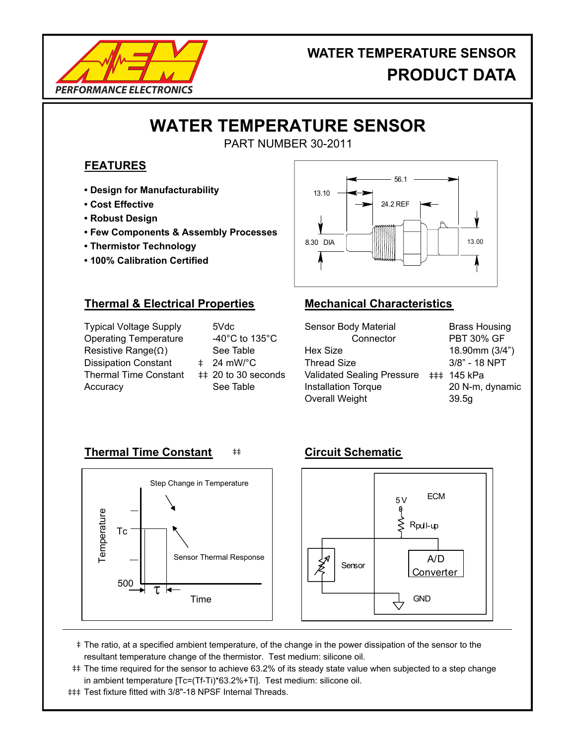

## **WATER TEMPERATURE SENSOR PRODUCT DATA**

# **WATER TEMPERATURE SENSOR**

PART NUMBER 30-2011

### **FEATURES**

- **Design for Manufacturability**
- **Cost Effective**
- **Robust Design**
- **Few Components & Assembly Processes**
- **Thermistor Technology**
- **100% Calibration Certified**



### **Thermal & Electrical Properties Mechanical Characteristics**

Typical Voltage Supply Operating Temperature Resistive Range(Ω ) Dissipation Constant Thermal Time Constant ‡‡ 20 to 30 seconds **Accuracy** 

5Vdc -40°C to 135°C See Table 24 mW/°C See Table

| <b>Brass Housing</b>                   |
|----------------------------------------|
| <b>PBT 30% GF</b>                      |
| 18.90mm (3/4")                         |
| 3/8" - 18 NPT                          |
| Validated Sealing Pressure ### 145 kPa |
| 20 N-m, dynamic                        |
| 39.5g                                  |
|                                        |

### **Thermal Time Constant**  $#$  **Circuit Schematic**





- ‡ The ratio, at a specified ambient temperature, of the change in the power dissipation of the sensor to the resultant temperature change of the thermistor. Test medium: silicone oil.
- ‡‡ The time required for the sensor to achieve 63.2% of its steady state value when subjected to a step change in ambient temperature [Tc=(Tf-Ti)\*63.2%+Ti]. Test medium: silicone oil.
- ‡‡‡ Test fixture fitted with 3/8"-18 NPSF Internal Threads.